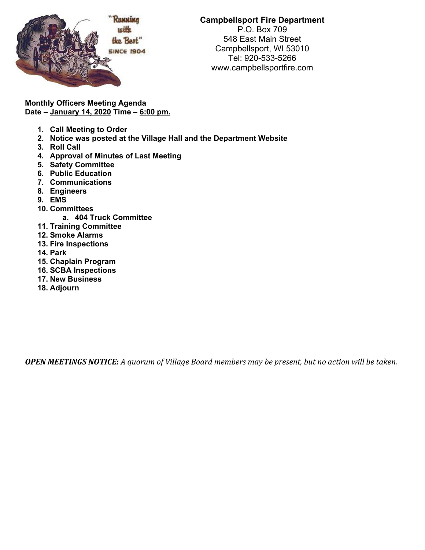

## **Campbellsport Fire Department**

P.O. Box 709 548 East Main Street Campbellsport, WI 53010 Tel: 920-533-5266 www.campbellsportfire.com

**Monthly Officers Meeting Agenda Date – January 14, 2020 Time – 6:00 pm.** 

- **1. Call Meeting to Order**
- **2. Notice was posted at the Village Hall and the Department Website**
- **3. Roll Call**
- **4. Approval of Minutes of Last Meeting**
- **5. Safety Committee**
- **6. Public Education**
- **7. Communications**
- **8. Engineers**
- **9. EMS**
- **10. Committees** 
	- **a. 404 Truck Committee**
- **11. Training Committee**
- **12. Smoke Alarms**
- **13. Fire Inspections**
- **14. Park**
- **15. Chaplain Program**
- **16. SCBA Inspections**
- **17. New Business**
- **18. Adjourn**

**OPEN MEETINGS NOTICE:** A quorum of Village Board members may be present, but no action will be taken.